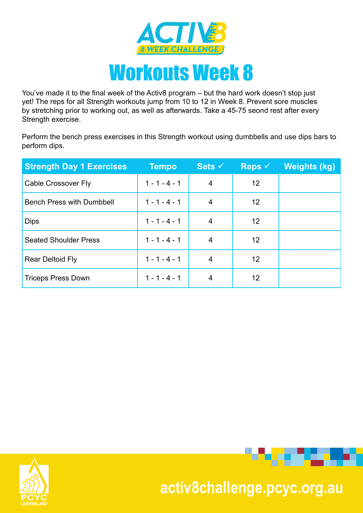

You've made it to the final week of the Activ8 program – but the hard work doesn't stop just yet! The reps for all Strength workouts jump from 10 to 12 in Week 8. Prevent sore muscles by stretching prior to working out, as well as afterwards. Take a 45-75 seond rest after every Strength exercise.

Perform the bench press exercises in this Strength workout using dumbbells and use dips bars to perform dips.

| <b>Strength Day 1 Exercises</b>  | <b>Tempo</b>    | Sets $\checkmark$ | Reps $\checkmark$ | <b>Weights (kg)</b> |
|----------------------------------|-----------------|-------------------|-------------------|---------------------|
| Cable Crossover Fly              | $1 - 1 - 4 - 1$ | $\overline{4}$    | 12                |                     |
| <b>Bench Press with Dumbbell</b> | $1 - 1 - 4 - 1$ | 4                 | 12                |                     |
| <b>Dips</b>                      | $1 - 1 - 4 - 1$ | 4                 | 12                |                     |
| <b>Seated Shoulder Press</b>     | $1 - 1 - 4 - 1$ | 4                 | 12                |                     |
| <b>Rear Deltoid Fly</b>          | $1 - 1 - 4 - 1$ | 4                 | 12                |                     |
| <b>Triceps Press Down</b>        | $1 - 1 - 4 - 1$ | 4                 | 12                |                     |





. . . . .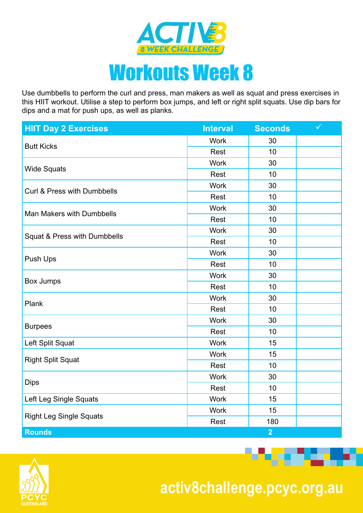

Use dumbbells to perform the curl and press, man makers as well as squat and press exercises in this HIIT workout. Utilise a step to perform box jumps, and left or right split squats. Use dip bars for dips and a mat for push ups, as well as planks.

| <b>HIIT Day 2 Exercises</b>    | <b>Interval</b> | <b>Seconds</b> | $\checkmark$ |
|--------------------------------|-----------------|----------------|--------------|
|                                | <b>Work</b>     | 30             |              |
| <b>Butt Kicks</b>              | Rest            | 10             |              |
|                                | <b>Work</b>     | 30             |              |
| <b>Wide Squats</b>             | Rest            | 10             |              |
| Curl & Press with Dumbbells    | <b>Work</b>     | 30             |              |
|                                | Rest            | 10             |              |
| Man Makers with Dumbbells      | <b>Work</b>     | 30             |              |
|                                | Rest            | 10             |              |
|                                | <b>Work</b>     | 30             |              |
| Squat & Press with Dumbbells   | Rest            | 10             |              |
|                                | <b>Work</b>     | 30             |              |
| Push Ups                       | Rest            | 10             |              |
|                                | <b>Work</b>     | 30             |              |
| <b>Box Jumps</b>               | Rest            | 10             |              |
| Plank                          | <b>Work</b>     | 30             |              |
|                                | Rest            | 10             |              |
|                                | <b>Work</b>     | 30             |              |
| <b>Burpees</b>                 | Rest            | 10             |              |
| Left Split Squat               | <b>Work</b>     | 15             |              |
|                                | <b>Work</b>     | 15             |              |
| <b>Right Split Squat</b>       | Rest            | 10             |              |
|                                | <b>Work</b>     | 30             |              |
| <b>Dips</b>                    | Rest            | 10             |              |
| Left Leg Single Squats         | <b>Work</b>     | 15             |              |
|                                | <b>Work</b>     | 15             |              |
| <b>Right Leg Single Squats</b> | Rest            | 180            |              |
| <b>Rounds</b>                  |                 | $\overline{2}$ |              |



 **activ8challenge.pcyc.org.au**

**Provident Contract**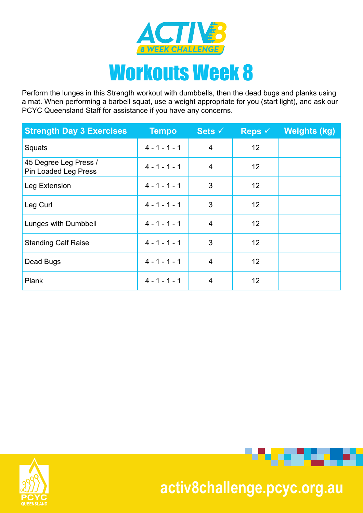

Perform the lunges in this Strength workout with dumbbells, then the dead bugs and planks using a mat. When performing a barbell squat, use a weight appropriate for you (start light), and ask our PCYC Queensland Staff for assistance if you have any concerns.

| <b>Strength Day 3 Exercises</b>               | <b>Tempo</b>    | Sets $\checkmark$ | Reps $\checkmark$ | <b>Weights (kg)</b> |
|-----------------------------------------------|-----------------|-------------------|-------------------|---------------------|
| Squats                                        | $4 - 1 - 1 - 1$ | 4                 | 12                |                     |
| 45 Degree Leg Press /<br>Pin Loaded Leg Press | $4 - 1 - 1 - 1$ | 4                 | 12                |                     |
| Leg Extension                                 | $4 - 1 - 1 - 1$ | 3                 | 12                |                     |
| Leg Curl                                      | $4 - 1 - 1 - 1$ | 3                 | 12                |                     |
| Lunges with Dumbbell                          | $4 - 1 - 1 - 1$ | $\overline{4}$    | 12                |                     |
| <b>Standing Calf Raise</b>                    | $4 - 1 - 1 - 1$ | 3                 | 12                |                     |
| Dead Bugs                                     | $4 - 1 - 1 - 1$ | $\overline{4}$    | 12                |                     |
| <b>Plank</b>                                  | $4 - 1 - 1 - 1$ | 4                 | 12                |                     |



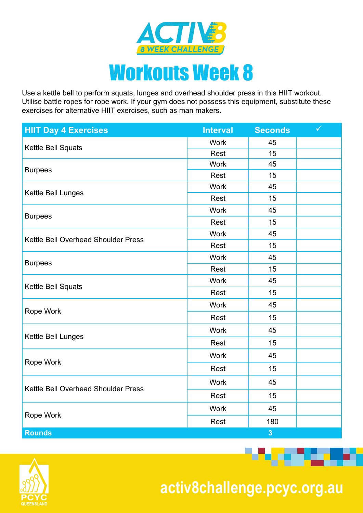

Use a kettle bell to perform squats, lunges and overhead shoulder press in this HIIT workout. Utilise battle ropes for rope work. If your gym does not possess this equipment, substitute these exercises for alternative HIIT exercises, such as man makers.

| <b>HIIT Day 4 Exercises</b>         | <b>Interval</b> | <b>Seconds</b> | $\checkmark$ |
|-------------------------------------|-----------------|----------------|--------------|
| Kettle Bell Squats                  | <b>Work</b>     | 45             |              |
|                                     | <b>Rest</b>     | 15             |              |
| <b>Burpees</b>                      | <b>Work</b>     | 45             |              |
|                                     | Rest            | 15             |              |
| Kettle Bell Lunges                  | <b>Work</b>     | 45             |              |
|                                     | Rest            | 15             |              |
| <b>Burpees</b>                      | <b>Work</b>     | 45             |              |
|                                     | Rest            | 15             |              |
| Kettle Bell Overhead Shoulder Press | <b>Work</b>     | 45             |              |
|                                     | Rest            | 15             |              |
|                                     | <b>Work</b>     | 45             |              |
| <b>Burpees</b>                      | Rest            | 15             |              |
| Kettle Bell Squats                  | <b>Work</b>     | 45             |              |
|                                     | <b>Rest</b>     | 15             |              |
|                                     | <b>Work</b>     | 45             |              |
| Rope Work                           | <b>Rest</b>     | 15             |              |
|                                     | <b>Work</b>     | 45             |              |
| Kettle Bell Lunges                  | Rest            | 15             |              |
|                                     | <b>Work</b>     | 45             |              |
| Rope Work                           | Rest            | 15             |              |
|                                     | <b>Work</b>     | 45             |              |
| Kettle Bell Overhead Shoulder Press | Rest            | 15             |              |
|                                     | <b>Work</b>     | 45             |              |
| Rope Work                           | <b>Rest</b>     | 180            |              |
| <b>Rounds</b>                       |                 | $\overline{3}$ |              |



 **activ8challenge.pcyc.org.au**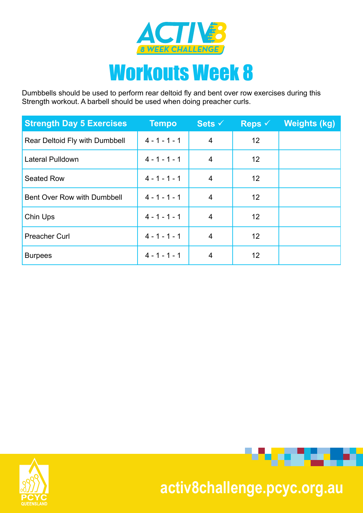

Dumbbells should be used to perform rear deltoid fly and bent over row exercises during this Strength workout. A barbell should be used when doing preacher curls.

| <b>Strength Day 5 Exercises</b> | <b>Tempo</b>    | Sets $\checkmark$ | Reps $\checkmark$ | <b>Weights (kg)</b> |
|---------------------------------|-----------------|-------------------|-------------------|---------------------|
| Rear Deltoid Fly with Dumbbell  | $4 - 1 - 1 - 1$ | $\overline{4}$    | 12                |                     |
| Lateral Pulldown                | $4 - 1 - 1 - 1$ | 4                 | 12                |                     |
| <b>Seated Row</b>               | $4 - 1 - 1 - 1$ | 4                 | 12                |                     |
| Bent Over Row with Dumbbell     | $4 - 1 - 1 - 1$ | $\overline{4}$    | 12                |                     |
| Chin Ups                        | $4 - 1 - 1 - 1$ | $\overline{4}$    | 12                |                     |
| <b>Preacher Curl</b>            | $4 - 1 - 1 - 1$ | $\overline{4}$    | 12                |                     |
| <b>Burpees</b>                  | $4 - 1 - 1 - 1$ | 4                 | 12                |                     |